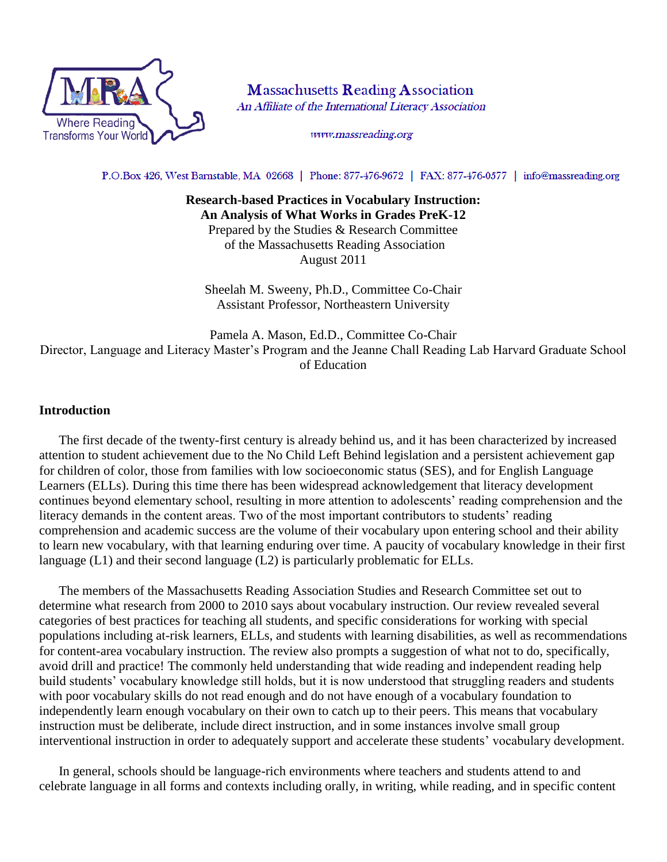

**Massachusetts Reading Association** An Affiliate of the International Literacy Association

www.massreading.org

P.O.Box 426, West Barnstable, MA 02668 | Phone: 877-476-9672 | FAX: 877-476-0577 | info@massreading.org

**Research-based Practices in Vocabulary Instruction: An Analysis of What Works in Grades PreK-12** Prepared by the Studies & Research Committee of the Massachusetts Reading Association August 2011

Sheelah M. Sweeny, Ph.D., Committee Co-Chair Assistant Professor, Northeastern University

Pamela A. Mason, Ed.D., Committee Co-Chair Director, Language and Literacy Master's Program and the Jeanne Chall Reading Lab Harvard Graduate School of Education

#### **Introduction**

The first decade of the twenty-first century is already behind us, and it has been characterized by increased attention to student achievement due to the No Child Left Behind legislation and a persistent achievement gap for children of color, those from families with low socioeconomic status (SES), and for English Language Learners (ELLs). During this time there has been widespread acknowledgement that literacy development continues beyond elementary school, resulting in more attention to adolescents' reading comprehension and the literacy demands in the content areas. Two of the most important contributors to students' reading comprehension and academic success are the volume of their vocabulary upon entering school and their ability to learn new vocabulary, with that learning enduring over time. A paucity of vocabulary knowledge in their first language (L1) and their second language (L2) is particularly problematic for ELLs.

The members of the Massachusetts Reading Association Studies and Research Committee set out to determine what research from 2000 to 2010 says about vocabulary instruction. Our review revealed several categories of best practices for teaching all students, and specific considerations for working with special populations including at-risk learners, ELLs, and students with learning disabilities, as well as recommendations for content-area vocabulary instruction. The review also prompts a suggestion of what not to do, specifically, avoid drill and practice! The commonly held understanding that wide reading and independent reading help build students' vocabulary knowledge still holds, but it is now understood that struggling readers and students with poor vocabulary skills do not read enough and do not have enough of a vocabulary foundation to independently learn enough vocabulary on their own to catch up to their peers. This means that vocabulary instruction must be deliberate, include direct instruction, and in some instances involve small group interventional instruction in order to adequately support and accelerate these students' vocabulary development.

In general, schools should be language-rich environments where teachers and students attend to and celebrate language in all forms and contexts including orally, in writing, while reading, and in specific content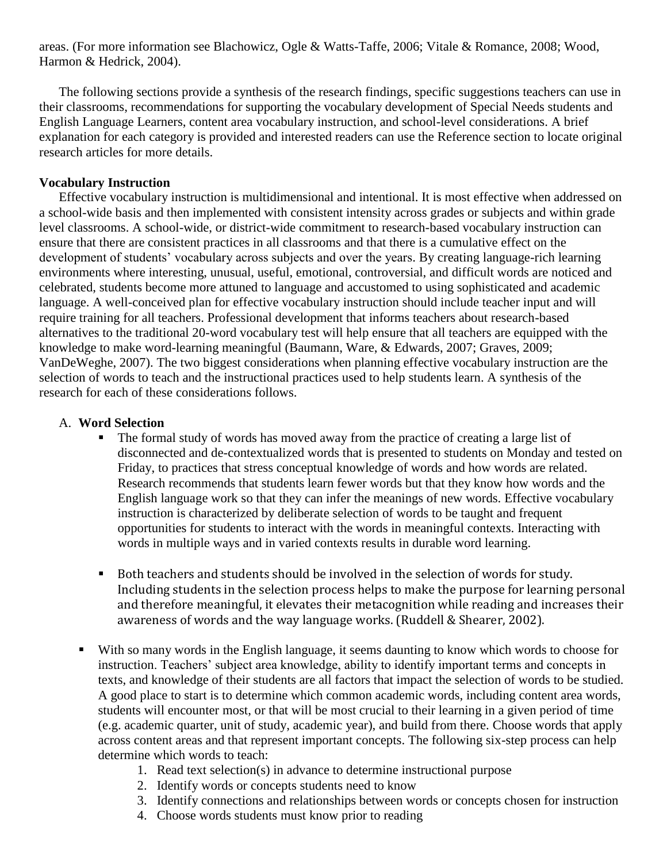areas. (For more information see Blachowicz, Ogle & Watts-Taffe, 2006; Vitale & Romance, 2008; Wood, Harmon & Hedrick, 2004).

The following sections provide a synthesis of the research findings, specific suggestions teachers can use in their classrooms, recommendations for supporting the vocabulary development of Special Needs students and English Language Learners, content area vocabulary instruction, and school-level considerations. A brief explanation for each category is provided and interested readers can use the Reference section to locate original research articles for more details.

#### **Vocabulary Instruction**

Effective vocabulary instruction is multidimensional and intentional. It is most effective when addressed on a school-wide basis and then implemented with consistent intensity across grades or subjects and within grade level classrooms. A school-wide, or district-wide commitment to research-based vocabulary instruction can ensure that there are consistent practices in all classrooms and that there is a cumulative effect on the development of students' vocabulary across subjects and over the years. By creating language-rich learning environments where interesting, unusual, useful, emotional, controversial, and difficult words are noticed and celebrated, students become more attuned to language and accustomed to using sophisticated and academic language. A well-conceived plan for effective vocabulary instruction should include teacher input and will require training for all teachers. Professional development that informs teachers about research-based alternatives to the traditional 20-word vocabulary test will help ensure that all teachers are equipped with the knowledge to make word-learning meaningful (Baumann, Ware, & Edwards, 2007; Graves, 2009; VanDeWeghe, 2007). The two biggest considerations when planning effective vocabulary instruction are the selection of words to teach and the instructional practices used to help students learn. A synthesis of the research for each of these considerations follows.

#### A. **Word Selection**

- The formal study of words has moved away from the practice of creating a large list of disconnected and de-contextualized words that is presented to students on Monday and tested on Friday, to practices that stress conceptual knowledge of words and how words are related. Research recommends that students learn fewer words but that they know how words and the English language work so that they can infer the meanings of new words. Effective vocabulary instruction is characterized by deliberate selection of words to be taught and frequent opportunities for students to interact with the words in meaningful contexts. Interacting with words in multiple ways and in varied contexts results in durable word learning.
- Both teachers and students should be involved in the selection of words for study. Including students in the selection process helps to make the purpose for learning personal and therefore meaningful, it elevates their metacognition while reading and increases their awareness of words and the way language works. (Ruddell & Shearer, 2002).
- With so many words in the English language, it seems daunting to know which words to choose for instruction. Teachers' subject area knowledge, ability to identify important terms and concepts in texts, and knowledge of their students are all factors that impact the selection of words to be studied. A good place to start is to determine which common academic words, including content area words, students will encounter most, or that will be most crucial to their learning in a given period of time (e.g. academic quarter, unit of study, academic year), and build from there. Choose words that apply across content areas and that represent important concepts. The following six-step process can help determine which words to teach:
	- 1. Read text selection(s) in advance to determine instructional purpose
	- 2. Identify words or concepts students need to know
	- 3. Identify connections and relationships between words or concepts chosen for instruction
	- 4. Choose words students must know prior to reading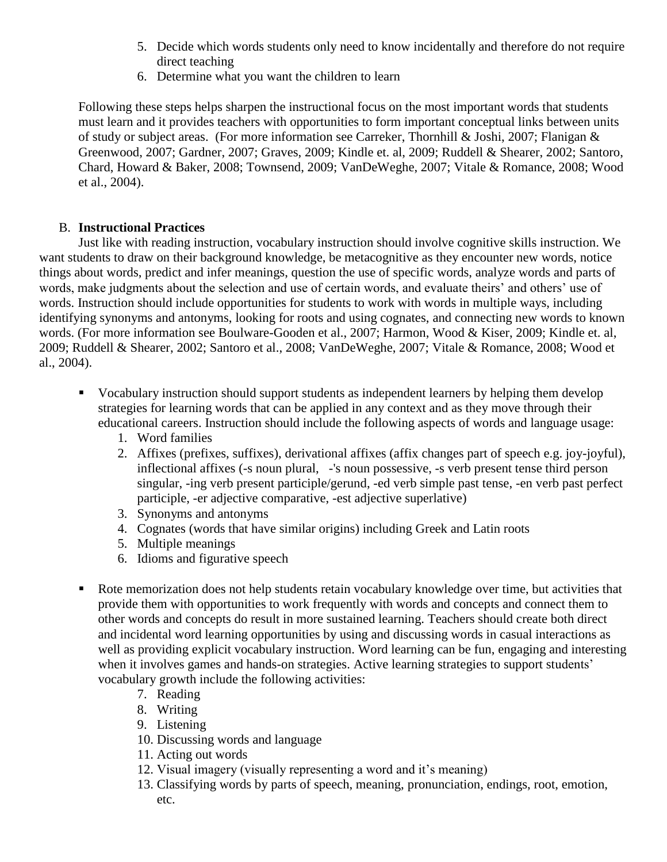- 5. Decide which words students only need to know incidentally and therefore do not require direct teaching
- 6. Determine what you want the children to learn

Following these steps helps sharpen the instructional focus on the most important words that students must learn and it provides teachers with opportunities to form important conceptual links between units of study or subject areas. (For more information see Carreker, Thornhill & Joshi, 2007; Flanigan & Greenwood, 2007; Gardner, 2007; Graves, 2009; Kindle et. al, 2009; Ruddell & Shearer, 2002; Santoro, Chard, Howard & Baker, 2008; Townsend, 2009; VanDeWeghe, 2007; Vitale & Romance, 2008; Wood et al., 2004).

## B. **Instructional Practices**

Just like with reading instruction, vocabulary instruction should involve cognitive skills instruction. We want students to draw on their background knowledge, be metacognitive as they encounter new words, notice things about words, predict and infer meanings, question the use of specific words, analyze words and parts of words, make judgments about the selection and use of certain words, and evaluate theirs' and others' use of words. Instruction should include opportunities for students to work with words in multiple ways, including identifying synonyms and antonyms, looking for roots and using cognates, and connecting new words to known words. (For more information see Boulware-Gooden et al., 2007; Harmon, Wood & Kiser, 2009; Kindle et. al, 2009; Ruddell & Shearer, 2002; Santoro et al., 2008; VanDeWeghe, 2007; Vitale & Romance, 2008; Wood et al., 2004).

- Vocabulary instruction should support students as independent learners by helping them develop strategies for learning words that can be applied in any context and as they move through their educational careers. Instruction should include the following aspects of words and language usage:
	- 1. Word families
	- 2. Affixes (prefixes, suffixes), derivational affixes (affix changes part of speech e.g. joy-joyful), inflectional affixes (-s noun plural, -'s noun possessive, -s verb present tense third person singular, -ing verb present participle/gerund, -ed verb simple past tense, -en verb past perfect participle, -er adjective comparative, -est adjective superlative)
	- 3. Synonyms and antonyms
	- 4. Cognates (words that have similar origins) including Greek and Latin roots
	- 5. Multiple meanings
	- 6. Idioms and figurative speech
- Rote memorization does not help students retain vocabulary knowledge over time, but activities that provide them with opportunities to work frequently with words and concepts and connect them to other words and concepts do result in more sustained learning. Teachers should create both direct and incidental word learning opportunities by using and discussing words in casual interactions as well as providing explicit vocabulary instruction. Word learning can be fun, engaging and interesting when it involves games and hands-on strategies. Active learning strategies to support students' vocabulary growth include the following activities:
	- 7. Reading
	- 8. Writing
	- 9. Listening
	- 10. Discussing words and language
	- 11. Acting out words
	- 12. Visual imagery (visually representing a word and it's meaning)
	- 13. Classifying words by parts of speech, meaning, pronunciation, endings, root, emotion, etc.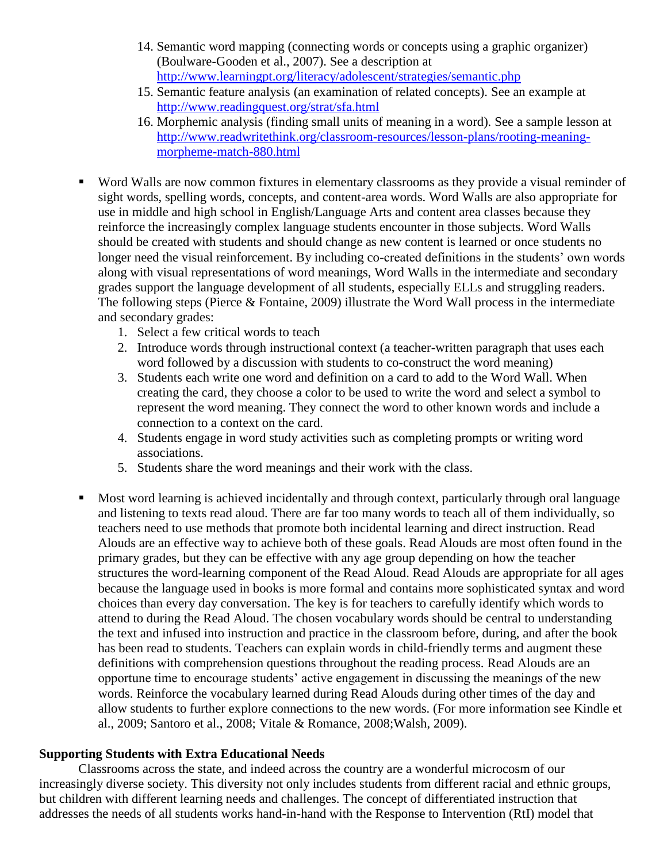- 14. Semantic word mapping (connecting words or concepts using a graphic organizer) (Boulware-Gooden et al., 2007). See a description at <http://www.learningpt.org/literacy/adolescent/strategies/semantic.php>
- 15. Semantic feature analysis (an examination of related concepts). See an example at <http://www.readingquest.org/strat/sfa.html>
- 16. Morphemic analysis (finding small units of meaning in a word). See a sample lesson at [http://www.readwritethink.org/classroom-resources/lesson-plans/rooting-meaning](http://www.readwritethink.org/classroom-resources/lesson-plans/rooting-meaning-morpheme-match-880.html)[morpheme-match-880.html](http://www.readwritethink.org/classroom-resources/lesson-plans/rooting-meaning-morpheme-match-880.html)
- Word Walls are now common fixtures in elementary classrooms as they provide a visual reminder of sight words, spelling words, concepts, and content-area words. Word Walls are also appropriate for use in middle and high school in English/Language Arts and content area classes because they reinforce the increasingly complex language students encounter in those subjects. Word Walls should be created with students and should change as new content is learned or once students no longer need the visual reinforcement. By including co-created definitions in the students' own words along with visual representations of word meanings, Word Walls in the intermediate and secondary grades support the language development of all students, especially ELLs and struggling readers. The following steps (Pierce & Fontaine, 2009) illustrate the Word Wall process in the intermediate and secondary grades:
	- 1. Select a few critical words to teach
	- 2. Introduce words through instructional context (a teacher-written paragraph that uses each word followed by a discussion with students to co-construct the word meaning)
	- 3. Students each write one word and definition on a card to add to the Word Wall. When creating the card, they choose a color to be used to write the word and select a symbol to represent the word meaning. They connect the word to other known words and include a connection to a context on the card.
	- 4. Students engage in word study activities such as completing prompts or writing word associations.
	- 5. Students share the word meanings and their work with the class.
- Most word learning is achieved incidentally and through context, particularly through oral language and listening to texts read aloud. There are far too many words to teach all of them individually, so teachers need to use methods that promote both incidental learning and direct instruction. Read Alouds are an effective way to achieve both of these goals. Read Alouds are most often found in the primary grades, but they can be effective with any age group depending on how the teacher structures the word-learning component of the Read Aloud. Read Alouds are appropriate for all ages because the language used in books is more formal and contains more sophisticated syntax and word choices than every day conversation. The key is for teachers to carefully identify which words to attend to during the Read Aloud. The chosen vocabulary words should be central to understanding the text and infused into instruction and practice in the classroom before, during, and after the book has been read to students. Teachers can explain words in child-friendly terms and augment these definitions with comprehension questions throughout the reading process. Read Alouds are an opportune time to encourage students' active engagement in discussing the meanings of the new words. Reinforce the vocabulary learned during Read Alouds during other times of the day and allow students to further explore connections to the new words. (For more information see Kindle et al., 2009; Santoro et al., 2008; Vitale & Romance, 2008;Walsh, 2009).

### **Supporting Students with Extra Educational Needs**

Classrooms across the state, and indeed across the country are a wonderful microcosm of our increasingly diverse society. This diversity not only includes students from different racial and ethnic groups, but children with different learning needs and challenges. The concept of differentiated instruction that addresses the needs of all students works hand-in-hand with the Response to Intervention (RtI) model that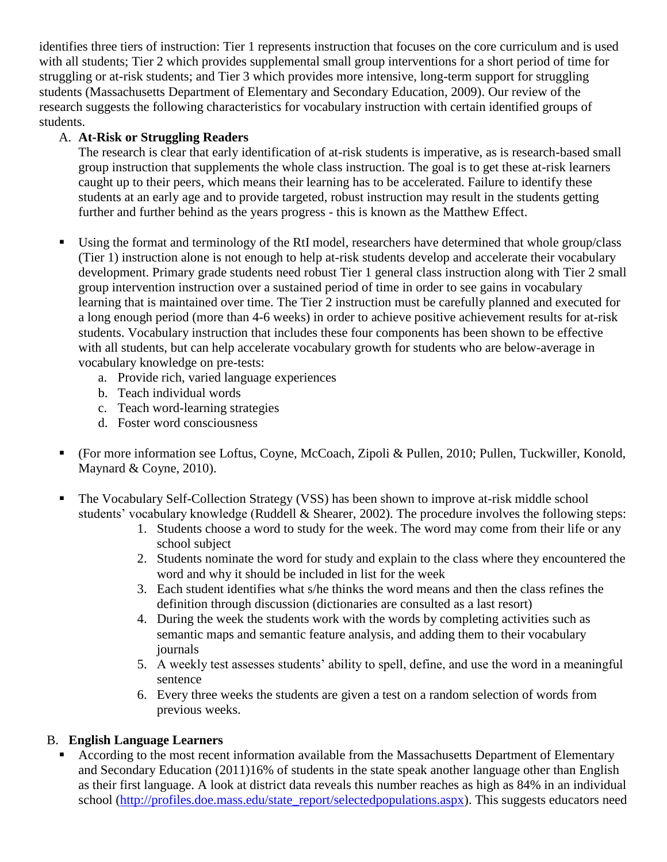identifies three tiers of instruction: Tier 1 represents instruction that focuses on the core curriculum and is used with all students; Tier 2 which provides supplemental small group interventions for a short period of time for struggling or at-risk students; and Tier 3 which provides more intensive, long-term support for struggling students (Massachusetts Department of Elementary and Secondary Education, 2009). Our review of the research suggests the following characteristics for vocabulary instruction with certain identified groups of students.

# A. **At-Risk or Struggling Readers**

The research is clear that early identification of at-risk students is imperative, as is research-based small group instruction that supplements the whole class instruction. The goal is to get these at-risk learners caught up to their peers, which means their learning has to be accelerated. Failure to identify these students at an early age and to provide targeted, robust instruction may result in the students getting further and further behind as the years progress - this is known as the Matthew Effect.

- Using the format and terminology of the RtI model, researchers have determined that whole group/class (Tier 1) instruction alone is not enough to help at-risk students develop and accelerate their vocabulary development. Primary grade students need robust Tier 1 general class instruction along with Tier 2 small group intervention instruction over a sustained period of time in order to see gains in vocabulary learning that is maintained over time. The Tier 2 instruction must be carefully planned and executed for a long enough period (more than 4-6 weeks) in order to achieve positive achievement results for at-risk students. Vocabulary instruction that includes these four components has been shown to be effective with all students, but can help accelerate vocabulary growth for students who are below-average in vocabulary knowledge on pre-tests:
	- a. Provide rich, varied language experiences
	- b. Teach individual words
	- c. Teach word-learning strategies
	- d. Foster word consciousness
- (For more information see Loftus, Coyne, McCoach, Zipoli & Pullen, 2010; Pullen, Tuckwiller, Konold, Maynard & Coyne, 2010).
- The Vocabulary Self-Collection Strategy (VSS) has been shown to improve at-risk middle school students' vocabulary knowledge (Ruddell & Shearer, 2002). The procedure involves the following steps:
	- 1. Students choose a word to study for the week. The word may come from their life or any school subject
	- 2. Students nominate the word for study and explain to the class where they encountered the word and why it should be included in list for the week
	- 3. Each student identifies what s/he thinks the word means and then the class refines the definition through discussion (dictionaries are consulted as a last resort)
	- 4. During the week the students work with the words by completing activities such as semantic maps and semantic feature analysis, and adding them to their vocabulary journals
	- 5. A weekly test assesses students' ability to spell, define, and use the word in a meaningful sentence
	- 6. Every three weeks the students are given a test on a random selection of words from previous weeks.

### B. **English Language Learners**

 According to the most recent information available from the Massachusetts Department of Elementary and Secondary Education (2011)16% of students in the state speak another language other than English as their first language. A look at district data reveals this number reaches as high as 84% in an individual school [\(http://profiles.doe.mass.edu/state\\_report/selectedpopulations.aspx\)](http://profiles.doe.mass.edu/state_report/selectedpopulations.aspx). This suggests educators need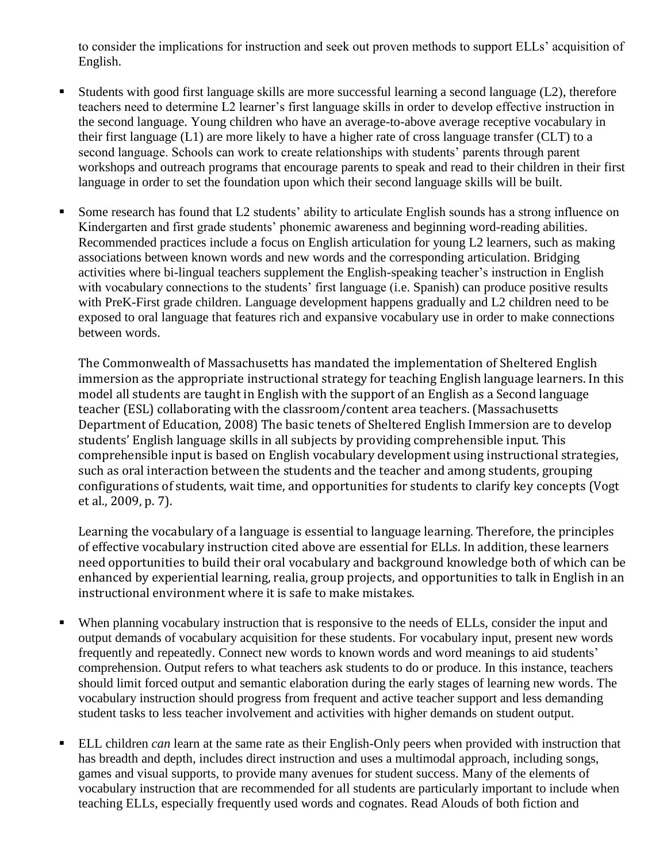to consider the implications for instruction and seek out proven methods to support ELLs' acquisition of English.

- Students with good first language skills are more successful learning a second language (L2), therefore teachers need to determine L2 learner's first language skills in order to develop effective instruction in the second language. Young children who have an average-to-above average receptive vocabulary in their first language (L1) are more likely to have a higher rate of cross language transfer (CLT) to a second language. Schools can work to create relationships with students' parents through parent workshops and outreach programs that encourage parents to speak and read to their children in their first language in order to set the foundation upon which their second language skills will be built.
- Some research has found that L2 students' ability to articulate English sounds has a strong influence on Kindergarten and first grade students' phonemic awareness and beginning word-reading abilities. Recommended practices include a focus on English articulation for young L2 learners, such as making associations between known words and new words and the corresponding articulation. Bridging activities where bi-lingual teachers supplement the English-speaking teacher's instruction in English with vocabulary connections to the students' first language (i.e. Spanish) can produce positive results with PreK-First grade children. Language development happens gradually and L2 children need to be exposed to oral language that features rich and expansive vocabulary use in order to make connections between words.

The Commonwealth of Massachusetts has mandated the implementation of Sheltered English immersion as the appropriate instructional strategy for teaching English language learners. In this model all students are taught in English with the support of an English as a Second language teacher (ESL) collaborating with the classroom/content area teachers. (Massachusetts Department of Education, 2008) The basic tenets of Sheltered English Immersion are to develop students' English language skills in all subjects by providing comprehensible input. This comprehensible input is based on English vocabulary development using instructional strategies, such as oral interaction between the students and the teacher and among students, grouping configurations of students, wait time, and opportunities for students to clarify key concepts (Vogt et al., 2009, p. 7).

Learning the vocabulary of a language is essential to language learning. Therefore, the principles of effective vocabulary instruction cited above are essential for ELLs. In addition, these learners need opportunities to build their oral vocabulary and background knowledge both of which can be enhanced by experiential learning, realia, group projects, and opportunities to talk in English in an instructional environment where it is safe to make mistakes.

- When planning vocabulary instruction that is responsive to the needs of ELLs, consider the input and output demands of vocabulary acquisition for these students. For vocabulary input, present new words frequently and repeatedly. Connect new words to known words and word meanings to aid students' comprehension. Output refers to what teachers ask students to do or produce. In this instance, teachers should limit forced output and semantic elaboration during the early stages of learning new words. The vocabulary instruction should progress from frequent and active teacher support and less demanding student tasks to less teacher involvement and activities with higher demands on student output.
- **ELL** children *can* learn at the same rate as their English-Only peers when provided with instruction that has breadth and depth, includes direct instruction and uses a multimodal approach, including songs, games and visual supports, to provide many avenues for student success. Many of the elements of vocabulary instruction that are recommended for all students are particularly important to include when teaching ELLs, especially frequently used words and cognates. Read Alouds of both fiction and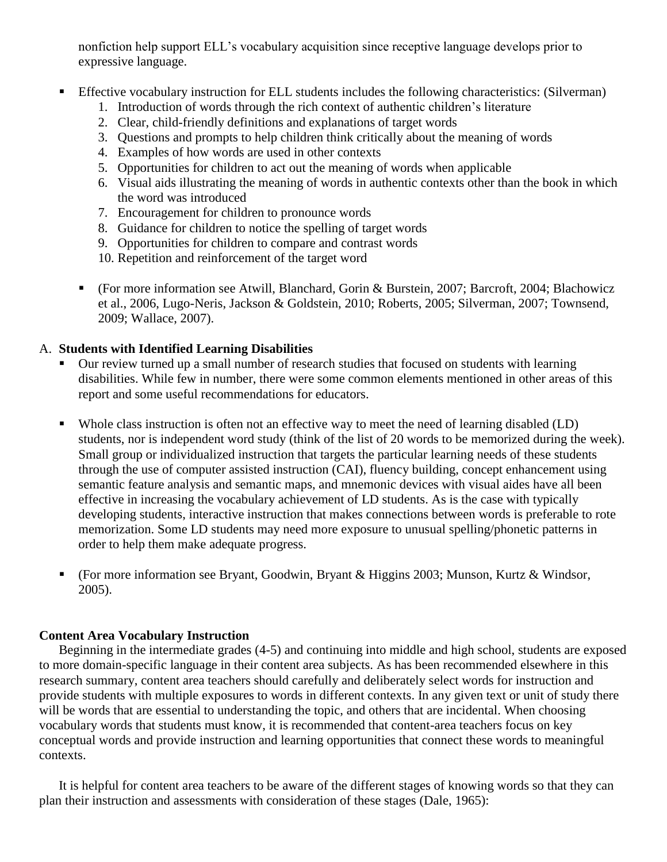nonfiction help support ELL's vocabulary acquisition since receptive language develops prior to expressive language.

- Effective vocabulary instruction for ELL students includes the following characteristics: (Silverman)
	- 1. Introduction of words through the rich context of authentic children's literature
	- 2. Clear, child-friendly definitions and explanations of target words
	- 3. Questions and prompts to help children think critically about the meaning of words
	- 4. Examples of how words are used in other contexts
	- 5. Opportunities for children to act out the meaning of words when applicable
	- 6. Visual aids illustrating the meaning of words in authentic contexts other than the book in which the word was introduced
	- 7. Encouragement for children to pronounce words
	- 8. Guidance for children to notice the spelling of target words
	- 9. Opportunities for children to compare and contrast words
	- 10. Repetition and reinforcement of the target word
	- (For more information see Atwill, Blanchard, Gorin & Burstein, 2007; Barcroft, 2004; Blachowicz et al., 2006, Lugo-Neris, Jackson & Goldstein, 2010; Roberts, 2005; Silverman, 2007; Townsend, 2009; Wallace, 2007).

### A. **Students with Identified Learning Disabilities**

- Our review turned up a small number of research studies that focused on students with learning disabilities. While few in number, there were some common elements mentioned in other areas of this report and some useful recommendations for educators.
- Whole class instruction is often not an effective way to meet the need of learning disabled (LD) students, nor is independent word study (think of the list of 20 words to be memorized during the week). Small group or individualized instruction that targets the particular learning needs of these students through the use of computer assisted instruction (CAI), fluency building, concept enhancement using semantic feature analysis and semantic maps, and mnemonic devices with visual aides have all been effective in increasing the vocabulary achievement of LD students. As is the case with typically developing students, interactive instruction that makes connections between words is preferable to rote memorization. Some LD students may need more exposure to unusual spelling/phonetic patterns in order to help them make adequate progress.
- (For more information see Bryant, Goodwin, Bryant & Higgins 2003; Munson, Kurtz & Windsor, 2005).

### **Content Area Vocabulary Instruction**

Beginning in the intermediate grades (4-5) and continuing into middle and high school, students are exposed to more domain-specific language in their content area subjects. As has been recommended elsewhere in this research summary, content area teachers should carefully and deliberately select words for instruction and provide students with multiple exposures to words in different contexts. In any given text or unit of study there will be words that are essential to understanding the topic, and others that are incidental. When choosing vocabulary words that students must know, it is recommended that content-area teachers focus on key conceptual words and provide instruction and learning opportunities that connect these words to meaningful contexts.

It is helpful for content area teachers to be aware of the different stages of knowing words so that they can plan their instruction and assessments with consideration of these stages (Dale, 1965):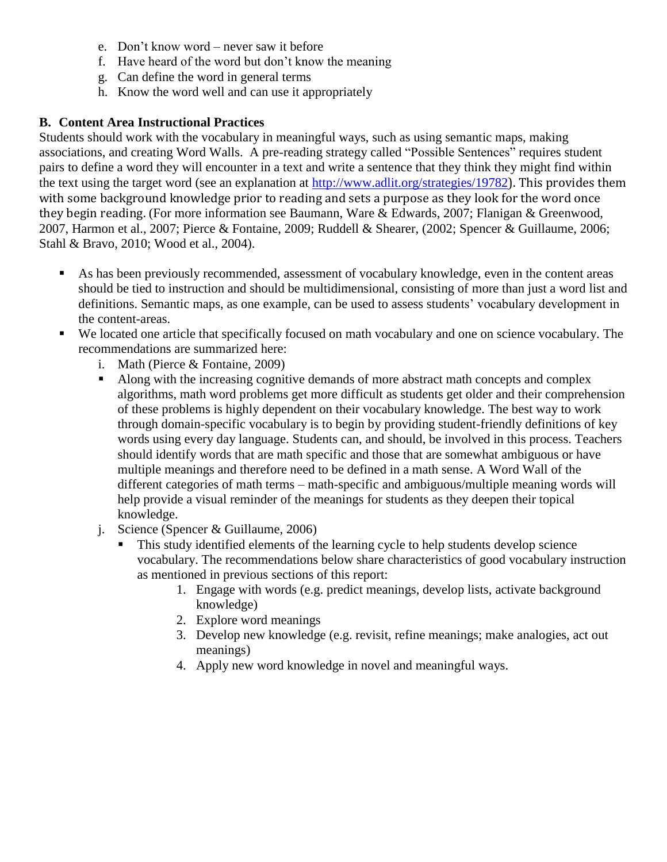- e. Don't know word never saw it before
- f. Have heard of the word but don't know the meaning
- g. Can define the word in general terms
- h. Know the word well and can use it appropriately

## **B. Content Area Instructional Practices**

Students should work with the vocabulary in meaningful ways, such as using semantic maps, making associations, and creating Word Walls. A pre-reading strategy called "Possible Sentences" requires student pairs to define a word they will encounter in a text and write a sentence that they think they might find within the text using the target word (see an explanation at <http://www.adlit.org/strategies/19782>). This provides them with some background knowledge prior to reading and sets a purpose as they look for the word once they begin reading. (For more information see Baumann, Ware & Edwards, 2007; Flanigan & Greenwood, 2007, Harmon et al., 2007; Pierce & Fontaine, 2009; Ruddell & Shearer, (2002; Spencer & Guillaume, 2006; Stahl & Bravo, 2010; Wood et al., 2004).

- As has been previously recommended, assessment of vocabulary knowledge, even in the content areas should be tied to instruction and should be multidimensional, consisting of more than just a word list and definitions. Semantic maps, as one example, can be used to assess students' vocabulary development in the content-areas.
- We located one article that specifically focused on math vocabulary and one on science vocabulary. The recommendations are summarized here:
	- i. Math (Pierce & Fontaine, 2009)
	- Along with the increasing cognitive demands of more abstract math concepts and complex algorithms, math word problems get more difficult as students get older and their comprehension of these problems is highly dependent on their vocabulary knowledge. The best way to work through domain-specific vocabulary is to begin by providing student-friendly definitions of key words using every day language. Students can, and should, be involved in this process. Teachers should identify words that are math specific and those that are somewhat ambiguous or have multiple meanings and therefore need to be defined in a math sense. A Word Wall of the different categories of math terms – math-specific and ambiguous/multiple meaning words will help provide a visual reminder of the meanings for students as they deepen their topical knowledge.
	- j. Science (Spencer & Guillaume, 2006)
		- This study identified elements of the learning cycle to help students develop science vocabulary. The recommendations below share characteristics of good vocabulary instruction as mentioned in previous sections of this report:
			- 1. Engage with words (e.g. predict meanings, develop lists, activate background knowledge)
			- 2. Explore word meanings
			- 3. Develop new knowledge (e.g. revisit, refine meanings; make analogies, act out meanings)
			- 4. Apply new word knowledge in novel and meaningful ways.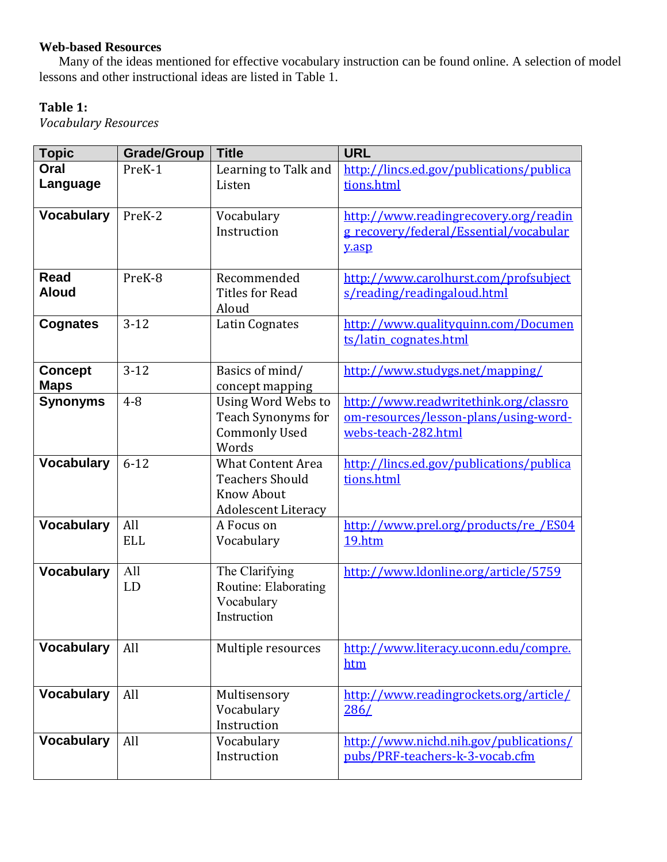# **Web-based Resources**

Many of the ideas mentioned for effective vocabulary instruction can be found online. A selection of model lessons and other instructional ideas are listed in Table 1.

# **Table 1:**

*Vocabulary Resources*

| <b>Topic</b>                  | <b>Grade/Group</b> | <b>Title</b>                                                                                          | <b>URL</b>                                                                                            |  |  |  |  |
|-------------------------------|--------------------|-------------------------------------------------------------------------------------------------------|-------------------------------------------------------------------------------------------------------|--|--|--|--|
| Oral<br>Language              | PreK-1             | Learning to Talk and<br>Listen                                                                        | http://lincs.ed.gov/publications/publica<br>tions.html                                                |  |  |  |  |
| <b>Vocabulary</b>             | PreK-2             | Vocabulary<br>Instruction                                                                             | http://www.readingrecovery.org/readin<br>g recovery/federal/Essential/vocabular<br>y.asp              |  |  |  |  |
| <b>Read</b><br><b>Aloud</b>   | PreK-8             | Recommended<br><b>Titles for Read</b><br>Aloud                                                        | http://www.carolhurst.com/profsubject<br>s/reading/readingaloud.html                                  |  |  |  |  |
| <b>Cognates</b>               | $3-12$             | Latin Cognates                                                                                        | http://www.qualityquinn.com/Documen<br>ts/latin cognates.html                                         |  |  |  |  |
| <b>Concept</b><br><b>Maps</b> | $3 - 12$           | Basics of mind/<br>concept mapping                                                                    | http://www.studygs.net/mapping/                                                                       |  |  |  |  |
| <b>Synonyms</b>               | $4 - 8$            | Using Word Webs to<br>Teach Synonyms for<br><b>Commonly Used</b><br>Words                             | http://www.readwritethink.org/classro<br>om-resources/lesson-plans/using-word-<br>webs-teach-282.html |  |  |  |  |
| <b>Vocabulary</b>             | $6 - 12$           | <b>What Content Area</b><br><b>Teachers Should</b><br><b>Know About</b><br><b>Adolescent Literacy</b> | http://lincs.ed.gov/publications/publica<br>tions.html                                                |  |  |  |  |
| <b>Vocabulary</b>             | All<br><b>ELL</b>  | A Focus on<br>Vocabulary                                                                              | http://www.prel.org/products/re/ES04<br>19.htm                                                        |  |  |  |  |
| <b>Vocabulary</b>             | All<br>LD          | The Clarifying<br>Routine: Elaborating<br>Vocabulary<br>Instruction                                   | http://www.ldonline.org/article/5759                                                                  |  |  |  |  |
| <b>Vocabulary</b>             | All                | Multiple resources                                                                                    | http://www.literacy.uconn.edu/compre.<br>htm                                                          |  |  |  |  |
| <b>Vocabulary</b>             | All                | Multisensory<br>Vocabulary<br>Instruction                                                             | http://www.readingrockets.org/article/<br>286/                                                        |  |  |  |  |
| <b>Vocabulary</b>             | All                | Vocabulary<br>Instruction                                                                             | http://www.nichd.nih.gov/publications/<br>pubs/PRF-teachers-k-3-vocab.cfm                             |  |  |  |  |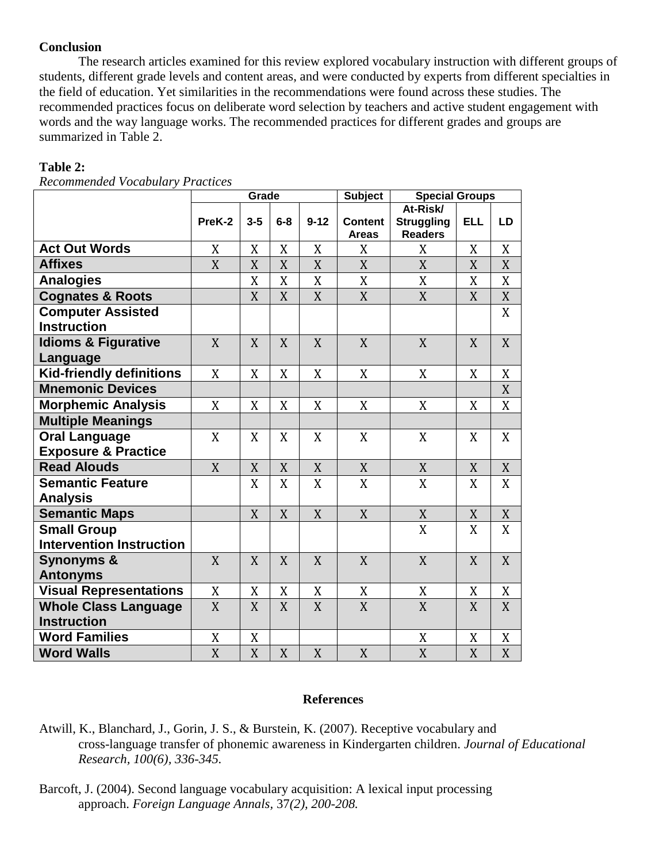#### **Conclusion**

The research articles examined for this review explored vocabulary instruction with different groups of students, different grade levels and content areas, and were conducted by experts from different specialties in the field of education. Yet similarities in the recommendations were found across these studies. The recommended practices focus on deliberate word selection by teachers and active student engagement with words and the way language works. The recommended practices for different grades and groups are summarized in Table 2.

### **Table 2:**

*Recommended Vocabulary Practices*

|                                                   | Grade            |                |                |                | <b>Subject</b>          | <b>Special Groups</b>                           |                |                  |  |
|---------------------------------------------------|------------------|----------------|----------------|----------------|-------------------------|-------------------------------------------------|----------------|------------------|--|
|                                                   | PreK-2           | $3 - 5$        | $6-8$          | $9 - 12$       | Content<br><b>Areas</b> | At-Risk/<br><b>Struggling</b><br><b>Readers</b> | <b>ELL</b>     | LD               |  |
| <b>Act Out Words</b>                              | X                | X              | X              | X              | X                       | X                                               | X              | X                |  |
| <b>Affixes</b>                                    | $\boldsymbol{X}$ | X              | X              | X              | X                       | X                                               | X              | X                |  |
| <b>Analogies</b>                                  |                  | X              | X              | X              | X                       | X                                               | X              | X                |  |
| <b>Cognates &amp; Roots</b>                       |                  | X              | X              | X              | X                       | $\mathbf X$                                     | $\overline{X}$ | $\boldsymbol{X}$ |  |
| <b>Computer Assisted</b>                          |                  |                |                |                |                         |                                                 |                | X                |  |
| <b>Instruction</b>                                |                  |                |                |                |                         |                                                 |                |                  |  |
| <b>Idioms &amp; Figurative</b>                    | X                | X              | X              | X              | X                       | X                                               | X              | X                |  |
| Language                                          |                  |                |                |                |                         |                                                 |                |                  |  |
| <b>Kid-friendly definitions</b>                   | X                | X              | X              | X              | X                       | X                                               | X              | X                |  |
| <b>Mnemonic Devices</b>                           |                  |                |                |                |                         |                                                 |                | X                |  |
| Morphemic Analysis                                | X                | X              | X              | X              | X                       | X                                               | X              | X                |  |
| <b>Multiple Meanings</b>                          |                  |                |                |                |                         |                                                 |                |                  |  |
| <b>Oral Language</b>                              | X                | X              | X              | X              | X                       | X                                               | X              | X                |  |
| <b>Exposure &amp; Practice</b>                    |                  |                |                |                |                         |                                                 |                |                  |  |
| <b>Read Alouds</b>                                | X                | X              | X              | $\mathbf X$    | $\mathbf X$             | $\mathbf X$                                     | X              | X                |  |
| <b>Semantic Feature</b>                           |                  | X              | X              | X              | $\overline{X}$          | X                                               | X              | X                |  |
| <b>Analysis</b>                                   |                  |                |                |                |                         |                                                 |                |                  |  |
| <b>Semantic Maps</b>                              |                  | X              | X              | X              | X                       | X                                               | X              | X                |  |
| <b>Small Group</b>                                |                  |                |                |                |                         | X                                               | X              | X                |  |
| <b>Intervention Instruction</b>                   |                  |                |                |                |                         |                                                 |                |                  |  |
| <b>Synonyms &amp;</b>                             | X                | X              | X              | X              | X                       | X                                               | X              | X                |  |
| <b>Antonyms</b>                                   |                  |                |                |                |                         |                                                 |                |                  |  |
| <b>Visual Representations</b>                     | X                | X              | X              | X              | X                       | $\boldsymbol{X}$                                | X              | X                |  |
| <b>Whole Class Language</b><br><b>Instruction</b> | X                | X              | X              | X              | X                       | X                                               | X              | X                |  |
| <b>Word Families</b>                              | X                | X              |                |                |                         | $\mathbf X$                                     | X              | X                |  |
| <b>Word Walls</b>                                 | X                | $\overline{X}$ | $\overline{X}$ | $\overline{X}$ | X                       | $\overline{X}$                                  | X              | X                |  |

#### **References**

- Atwill, K., Blanchard, J., Gorin, J. S., & Burstein, K. (2007). Receptive vocabulary and cross-language transfer of phonemic awareness in Kindergarten children. *Journal of Educational Research, 100(6), 336-345.*
- Barcoft, J. (2004). Second language vocabulary acquisition: A lexical input processing approach. *Foreign Language Annals,* 37*(2), 200-208.*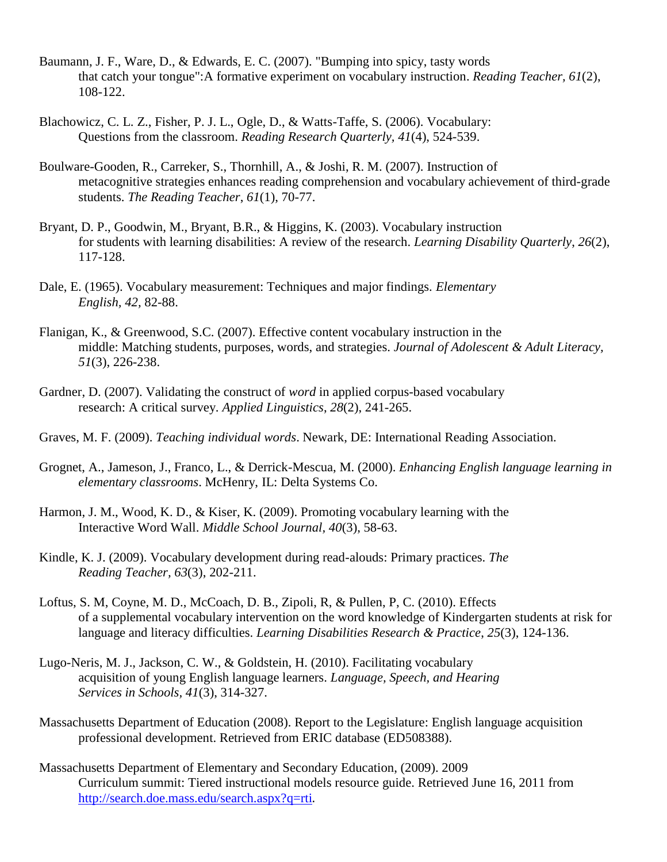- Baumann, J. F., Ware, D., & Edwards, E. C. (2007). "Bumping into spicy, tasty words that catch your tongue":A formative experiment on vocabulary instruction. *Reading Teacher, 61*(2), 108-122.
- Blachowicz, C. L. Z., Fisher, P. J. L., Ogle, D., & Watts-Taffe, S. (2006). Vocabulary: Questions from the classroom. *Reading Research Quarterly, 41*(4), 524-539.
- Boulware-Gooden, R., Carreker, S., Thornhill, A., & Joshi, R. M. (2007). Instruction of metacognitive strategies enhances reading comprehension and vocabulary achievement of third-grade students. *The Reading Teacher*, *61*(1), 70-77.
- Bryant, D. P., Goodwin, M., Bryant, B.R., & Higgins, K. (2003). Vocabulary instruction for students with learning disabilities: A review of the research. *Learning Disability Quarterly*, *26*(2), 117-128.
- Dale, E. (1965). Vocabulary measurement: Techniques and major findings. *Elementary English, 42,* 82-88.
- Flanigan, K., & Greenwood, S.C. (2007). Effective content vocabulary instruction in the middle: Matching students, purposes, words, and strategies. *Journal of Adolescent & Adult Literacy, 51*(3), 226-238.
- Gardner, D. (2007). Validating the construct of *word* in applied corpus-based vocabulary research: A critical survey. *Applied Linguistics*, *28*(2), 241-265.
- Graves, M. F. (2009). *Teaching individual words*. Newark, DE: International Reading Association.
- Grognet, A., Jameson, J., Franco, L., & Derrick-Mescua, M. (2000). *Enhancing English language learning in elementary classrooms*. McHenry, IL: Delta Systems Co.
- Harmon, J. M., Wood, K. D., & Kiser, K. (2009). Promoting vocabulary learning with the Interactive Word Wall. *Middle School Journal, 40*(3), 58-63.
- Kindle, K. J. (2009). Vocabulary development during read-alouds: Primary practices. *The Reading Teacher, 63*(3), 202-211.
- Loftus, S. M, Coyne, M. D., McCoach, D. B., Zipoli, R, & Pullen, P, C. (2010). Effects of a supplemental vocabulary intervention on the word knowledge of Kindergarten students at risk for language and literacy difficulties. *Learning Disabilities Research & Practice*, *25*(3), 124-136.
- Lugo-Neris, M. J., Jackson, C. W., & Goldstein, H. (2010). Facilitating vocabulary acquisition of young English language learners. *Language, Speech, and Hearing Services in Schools, 41*(3), 314-327.
- Massachusetts Department of Education (2008). Report to the Legislature: English language acquisition professional development. Retrieved from ERIC database (ED508388).
- Massachusetts Department of Elementary and Secondary Education, (2009). 2009 Curriculum summit: Tiered instructional models resource guide. Retrieved June 16, 2011 from <http://search.doe.mass.edu/search.aspx?q=rti>.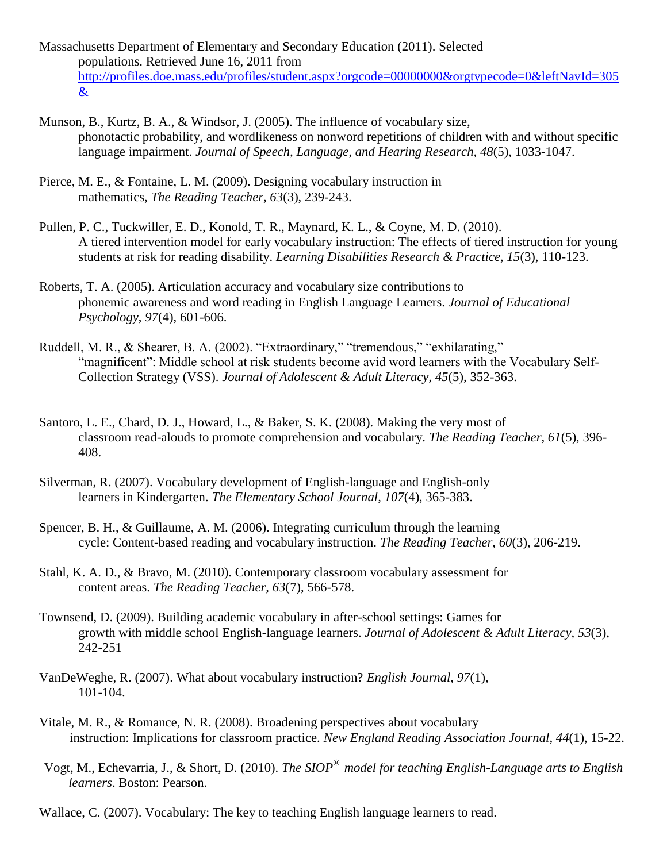- Massachusetts Department of Elementary and Secondary Education (2011). Selected populations. Retrieved June 16, 2011 from [http://profiles.doe.mass.edu/profiles/student.aspx?orgcode=00000000&orgtypecode=0&leftNavId=305](http://profiles.doe.mass.edu/profiles/student.aspx?orgcode=00000000&orgtypecode=0&leftNavId=305&) [&](http://profiles.doe.mass.edu/profiles/student.aspx?orgcode=00000000&orgtypecode=0&leftNavId=305&)
- Munson, B., Kurtz, B. A., & Windsor, J. (2005). The influence of vocabulary size, phonotactic probability, and wordlikeness on nonword repetitions of children with and without specific language impairment. *Journal of Speech, Language, and Hearing Research, 48*(5), 1033-1047.
- Pierce, M. E., & Fontaine, L. M. (2009). Designing vocabulary instruction in mathematics, *The Reading Teacher, 63*(3), 239-243.
- Pullen, P. C., Tuckwiller, E. D., Konold, T. R., Maynard, K. L., & Coyne, M. D. (2010). A tiered intervention model for early vocabulary instruction: The effects of tiered instruction for young students at risk for reading disability. *Learning Disabilities Research & Practice, 15*(3), 110-123.
- Roberts, T. A. (2005). Articulation accuracy and vocabulary size contributions to phonemic awareness and word reading in English Language Learners. *Journal of Educational Psychology*, *97*(4), 601-606.
- Ruddell, M. R., & Shearer, B. A. (2002). "Extraordinary," "tremendous," "exhilarating," "magnificent": Middle school at risk students become avid word learners with the Vocabulary Self-Collection Strategy (VSS). *Journal of Adolescent & Adult Literacy, 45*(5), 352-363.
- Santoro, L. E., Chard, D. J., Howard, L., & Baker, S. K. (2008). Making the very most of classroom read-alouds to promote comprehension and vocabulary. *The Reading Teacher, 61*(5), 396- 408.
- Silverman, R. (2007). Vocabulary development of English-language and English-only learners in Kindergarten. *The Elementary School Journal, 107*(4), 365-383.
- Spencer, B. H., & Guillaume, A. M. (2006). Integrating curriculum through the learning cycle: Content-based reading and vocabulary instruction. *The Reading Teacher, 60*(3), 206-219.
- Stahl, K. A. D., & Bravo, M. (2010). Contemporary classroom vocabulary assessment for content areas. *The Reading Teacher, 63*(7), 566-578.
- Townsend, D. (2009). Building academic vocabulary in after-school settings: Games for growth with middle school English-language learners. *Journal of Adolescent & Adult Literacy, 53*(3), 242-251
- VanDeWeghe, R. (2007). What about vocabulary instruction? *English Journal, 97*(1), 101-104.
- Vitale, M. R., & Romance, N. R. (2008). Broadening perspectives about vocabulary instruction: Implications for classroom practice. *New England Reading Association Journal, 44*(1), 15-22.
- Vogt, M., Echevarria, J., & Short, D. (2010). *The SIOP® model for teaching English-Language arts to English learners*. Boston: Pearson.
- Wallace, C. (2007). Vocabulary: The key to teaching English language learners to read.